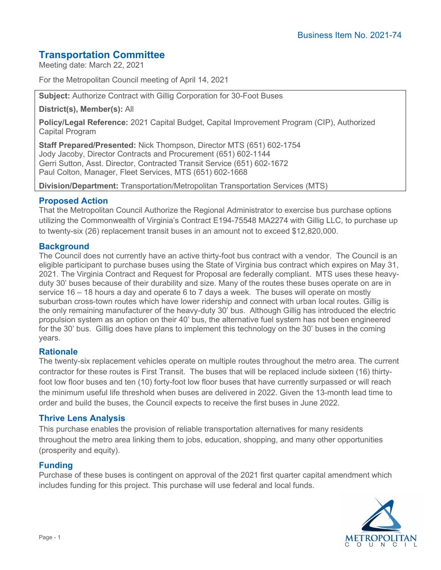# **Transportation Committee**

Meeting date: March 22, 2021

For the Metropolitan Council meeting of April 14, 2021

**Subject:** Authorize Contract with Gillig Corporation for 30-Foot Buses

**District(s), Member(s):** All

**Policy/Legal Reference:** 2021 Capital Budget, Capital Improvement Program (CIP), Authorized Capital Program

**Staff Prepared/Presented:** Nick Thompson, Director MTS (651) 602-1754 Jody Jacoby, Director Contracts and Procurement (651) 602-1144 Gerri Sutton, Asst. Director, Contracted Transit Service (651) 602-1672 Paul Colton, Manager, Fleet Services, MTS (651) 602-1668

**Division/Department:** Transportation/Metropolitan Transportation Services (MTS)

#### **Proposed Action**

That the Metropolitan Council Authorize the Regional Administrator to exercise bus purchase options utilizing the Commonwealth of Virginia's Contract E194-75548 MA2274 with Gillig LLC, to purchase up to twenty-six (26) replacement transit buses in an amount not to exceed \$12,820,000.

## **Background**

The Council does not currently have an active thirty-foot bus contract with a vendor. The Council is an eligible participant to purchase buses using the State of Virginia bus contract which expires on May 31, 2021. The Virginia Contract and Request for Proposal are federally compliant. MTS uses these heavyduty 30' buses because of their durability and size. Many of the routes these buses operate on are in service 16 – 18 hours a day and operate 6 to 7 days a week. The buses will operate on mostly suburban cross-town routes which have lower ridership and connect with urban local routes. Gillig is the only remaining manufacturer of the heavy-duty 30' bus. Although Gillig has introduced the electric propulsion system as an option on their 40' bus, the alternative fuel system has not been engineered for the 30' bus. Gillig does have plans to implement this technology on the 30' buses in the coming years.

#### **Rationale**

The twenty-six replacement vehicles operate on multiple routes throughout the metro area. The current contractor for these routes is First Transit. The buses that will be replaced include sixteen (16) thirtyfoot low floor buses and ten (10) forty-foot low floor buses that have currently surpassed or will reach the minimum useful life threshold when buses are delivered in 2022. Given the 13-month lead time to order and build the buses, the Council expects to receive the first buses in June 2022.

## **Thrive Lens Analysis**

This purchase enables the provision of reliable transportation alternatives for many residents throughout the metro area linking them to jobs, education, shopping, and many other opportunities (prosperity and equity).

#### **Funding**

Purchase of these buses is contingent on approval of the 2021 first quarter capital amendment which includes funding for this project. This purchase will use federal and local funds.